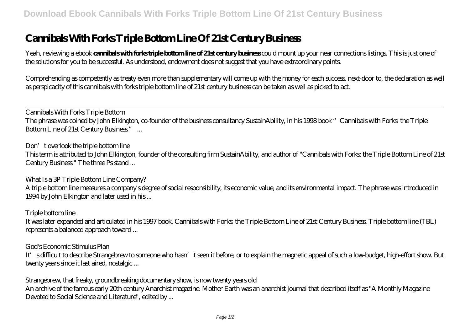# **Cannibals With Forks Triple Bottom Line Of 21st Century Business**

Yeah, reviewing a ebook **cannibals with forks triple bottom line of 21st century business** could mount up your near connections listings. This is just one of the solutions for you to be successful. As understood, endowment does not suggest that you have extraordinary points.

Comprehending as competently as treaty even more than supplementary will come up with the money for each success. next-door to, the declaration as well as perspicacity of this cannibals with forks triple bottom line of 21st century business can be taken as well as picked to act.

*Cannibals With Forks Triple Bottom* The phrase was coined by John Elkington, co-founder of the business consultancy SustainAbility, in his 1998 book "Cannibals with Forks: the Triple Bottom Line of 21st Century Business." ...

#### *Don't overlook the triple bottom line*

This term is attributed to John Elkington, founder of the consulting firm SustainAbility, and author of "Cannibals with Forks: the Triple Bottom Line of 21st Century Business." The three Ps stand ...

## *What Is a 3P Triple Bottom Line Company?*

A triple bottom line measures a company's degree of social responsibility, its economic value, and its environmental impact. The phrase was introduced in 1994 by John Elkington and later used in his ...

## *Triple bottom line*

It was later expanded and articulated in his 1997 book, Cannibals with Forks: the Triple Bottom Line of 21st Century Business. Triple bottom line (TBL) represents a balanced approach toward ...

## *God's Economic Stimulus Plan*

It's difficult to describe Strangebrew to someone who hasn't seen it before, or to explain the magnetic appeal of such a low-budget, high-effort show. But twenty years since it last aired, nostalgic ...

## *Strangebrew, that freaky, groundbreaking documentary show, is now twenty years old*

An archive of the famous early 20th century Anarchist magazine. Mother Earth was an anarchist journal that described itself as "A Monthly Magazine Devoted to Social Science and Literature", edited by ...